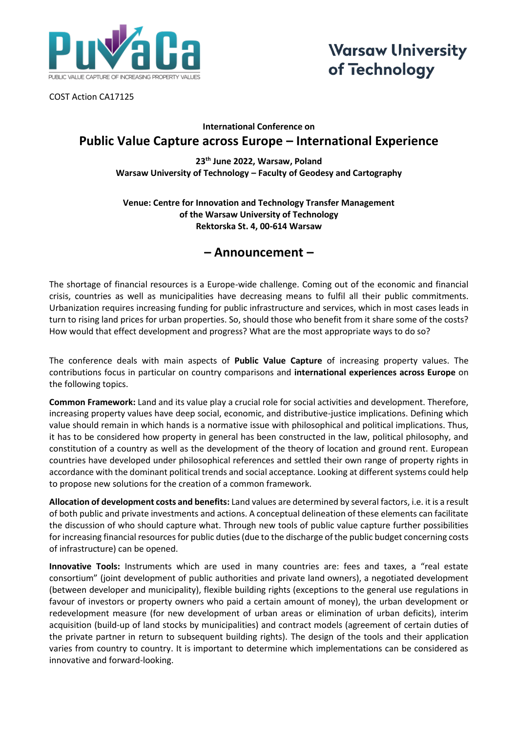

**Warsaw University** of Technology

COST Action CA17125

### **International Conference on Public Value Capture across Europe – International Experience**

**23th June 2022, Warsaw, Poland Warsaw University of Technology – Faculty of Geodesy and Cartography**

### **Venue: Centre for Innovation and Technology Transfer Management of the Warsaw University of Technology Rektorska St. 4, 00-614 Warsaw**

## **– Announcement –**

The shortage of financial resources is a Europe-wide challenge. Coming out of the economic and financial crisis, countries as well as municipalities have decreasing means to fulfil all their public commitments. Urbanization requires increasing funding for public infrastructure and services, which in most cases leads in turn to rising land prices for urban properties. So, should those who benefit from it share some of the costs? How would that effect development and progress? What are the most appropriate ways to do so?

The conference deals with main aspects of **Public Value Capture** of increasing property values. The contributions focus in particular on country comparisons and **international experiences across Europe** on the following topics.

**Common Framework:** Land and its value play a crucial role for social activities and development. Therefore, increasing property values have deep social, economic, and distributive-justice implications. Defining which value should remain in which hands is a normative issue with philosophical and political implications. Thus, it has to be considered how property in general has been constructed in the law, political philosophy, and constitution of a country as well as the development of the theory of location and ground rent. European countries have developed under philosophical references and settled their own range of property rights in accordance with the dominant political trends and social acceptance. Looking at different systems could help to propose new solutions for the creation of a common framework.

**Allocation of development costs and benefits:** Land values are determined by several factors, i.e. it is a result of both public and private investments and actions. A conceptual delineation of these elements can facilitate the discussion of who should capture what. Through new tools of public value capture further possibilities for increasing financial resources for public duties (due to the discharge of the public budget concerning costs of infrastructure) can be opened.

**Innovative Tools:** Instruments which are used in many countries are: fees and taxes, a "real estate consortium" (joint development of public authorities and private land owners), a negotiated development (between developer and municipality), flexible building rights (exceptions to the general use regulations in favour of investors or property owners who paid a certain amount of money), the urban development or redevelopment measure (for new development of urban areas or elimination of urban deficits), interim acquisition (build-up of land stocks by municipalities) and contract models (agreement of certain duties of the private partner in return to subsequent building rights). The design of the tools and their application varies from country to country. It is important to determine which implementations can be considered as innovative and forward-looking.